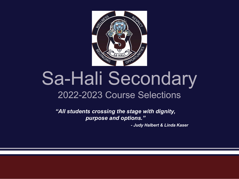

### Sa-Hali Secondary 2022-2023 Course Selections

*"All students crossing the stage with dignity, purpose and options."* 

*- Judy Halbert & Linda Kaser*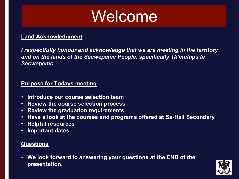# Welcome

#### **Land Acknowledgment**

*I respectfully honour and acknowledge that we are meeting in the territory and on the lands of the Secwepemc People, specifically Tk'emlups te Secwepemc.* 

#### **Purpose for Todays meeting**

- **Introduce our course selection team**
- **Review the course selection process**
- **Review the graduation requirements**
- **Have a look at the courses and programs offered at Sa-Hali Secondary**
- **Helpful resources**
- **Important dates**

### **Questions**

• **We look forward to answering your questions at the END of the presentation.** 

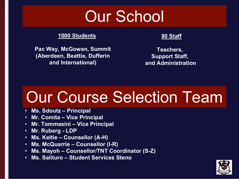## Our School

#### **1000 Students**

**Pac Way, McGowan, Summit (Aberdeen, Beattie, Dufferin and International)**

### **80 Staff**

**Teachers, Support Staff, and Administration**

# Our Course Selection Team

- **Ms. Sdoutz – Principal**
- **Mr. Comita – Vice Principal**
- **Mr. Tommasini – Vice Principal**
- **Mr. Ruberg - LDP**
- **Ms. Keltie – Counsellor (A-H)**
- **Ms. McQuarrie – Counsellor (I-R)**
- **Ms. Mayoh – Counsellor/TNT Coordinator (S-Z)**
- **Ms. Salituro – Student Services Steno**

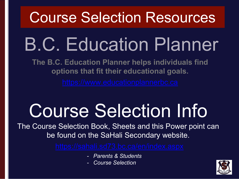## Course Selection Resources

# B.C. Education Planner

**The B.C. Education Planner helps individuals find options that fit their educational goals.**

# Course Selection Info

The Course Selection Book, Sheets and this Power point can be found on the SaHali Secondary website.

- *Parents & Students*
- *Course Selection*

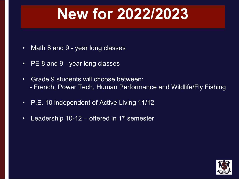### **New for 2022/2023**

- Math 8 and 9 year long classes
- PE 8 and 9 year long classes
- Grade 9 students will choose between: - French, Power Tech, Human Performance and Wildlife/Fly Fishing
- P.E. 10 independent of Active Living 11/12
- Leadership 10-12 offered in 1<sup>st</sup> semester

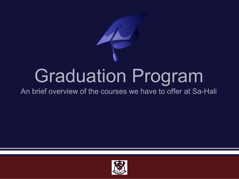

# Graduation Program

### An brief overview of the courses we have to offer at Sa-Hali

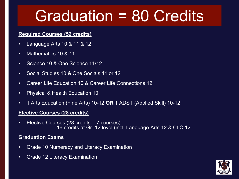# Graduation = 80 Credits

#### **Required Courses (52 credits)**

- Language Arts 10 & 11 & 12
- Mathematics 10 & 11
- Science 10 & One Science 11/12
- Social Studies 10 & One Socials 11 or 12
- Career Life Education 10 & Career Life Connections 12
- Physical & Health Education 10
- 1 Arts Education (Fine Arts) 10-12 **OR** 1 ADST (Applied Skill) 10-12

#### **Elective Courses (28 credits)**

• Elective Courses (28 credits = 7 courses) - 16 credits at Gr. 12 level (incl. Language Arts 12 & CLC 12

#### **Graduation Exams**

- Grade 10 Numeracy and Literacy Examination
- Grade 12 Literacy Examination

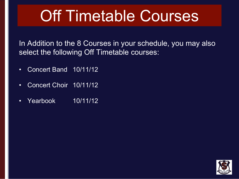# Off Timetable Courses

In Addition to the 8 Courses in your schedule, you may also select the following Off Timetable courses:

- Concert Band 10/11/12
- Concert Choir 10/11/12
- Yearbook 10/11/12

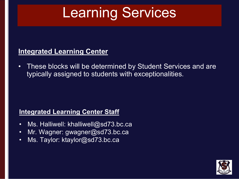### Learning Services

### **Integrated Learning Center**

• These blocks will be determined by Student Services and are typically assigned to students with exceptionalities.

### **Integrated Learning Center Staff**

- Ms. Halliwell: khalliwell@sd73.bc.ca
- Mr. Wagner: gwagner@sd73.bc.ca
- Ms. Taylor: ktaylor@sd73.bc.ca

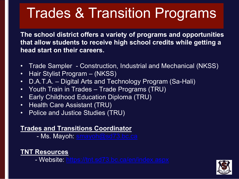### Trades & Transition Programs

**The school district offers a variety of programs and opportunities that allow students to receive high school credits while getting a head start on their careers.** 

- Trade Sampler Construction, Industrial and Mechanical (NKSS)
- Hair Stylist Program (NKSS)
- D.A.T.A. Digital Arts and Technology Program (Sa-Hali)
- Youth Train in Trades Trade Programs (TRU)
- Early Childhood Education Diploma (TRU)
- Health Care Assistant (TRU)
- Police and Justice Studies (TRU)

### **Trades and Transitions Coordinator**

- Ms. Mayoh: <u>[smayoh@sd73.bc.ca](mailto:smayoh@sd73.bc.ca)</u>

### **TNT Resources**

*-* Website: <https://tnt.sd73.bc.ca/en/index.aspx>

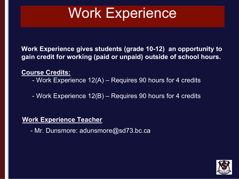### Work Experience

**Work Experience gives students (grade 10-12) an opportunity to gain credit for working (paid or unpaid) outside of school hours.** 

### **Course Credits:**

- Work Experience 12(A) – Requires 90 hours for 4 credits

- Work Experience 12(B) – Requires 90 hours for 4 credits

### **Work Experience Teacher**

- Mr. Dunsmore: adunsmore@sd73.bc.ca

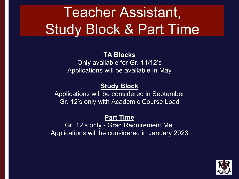## Teacher Assistant, Study Block & Part Time

### **TA Blocks**

Only available for Gr. 11/12's Applications will be available in May

### **Study Block**

Applications will be considered in September Gr. 12's only with Academic Course Load

### **Part Time**

Gr. 12's only - Grad Requirement Met Applications will be considered in January 2023

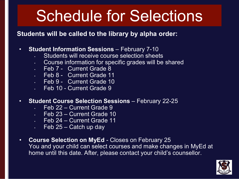# Schedule for Selections

**Students will be called to the library by alpha order:**

- **Student Information Sessions** February 7-10
	- Students will receive course selection sheets
	- Course information for specific grades will be shared
	- Feb 7 Current Grade 8
	- Feb 8 Current Grade 11
	- Feb 9 Current Grade 10
	- Feb 10 Current Grade 9
- **Student Course Selection Sessions**  February 22-25
	- Feb 22 Current Grade 9
	- Feb 23 Current Grade 10
	- Feb 24 Current Grade 11
	- $\cdot$  Feb 25 Catch up day
- **Course Selection on MyEd** Closes on February 25 You and your child can select courses and make changes in MyEd at home until this date. After, please contact your child's counsellor.

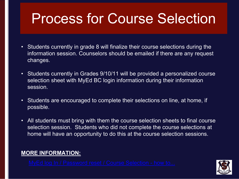### Process for Course Selection

- Students currently in grade 8 will finalize their course selections during the information session. Counselors should be emailed if there are any request changes.
- Students currently in Grades 9/10/11 will be provided a personalized course selection sheet with MyEd BC login information during their information session.
- Students are encouraged to complete their selections on line, at home, if possible.
- All students must bring with them the course selection sheets to final course selection session. Students who did not complete the course selections at home will have an opportunity to do this at the course selection sessions.

### **MORE INFORMATION:**